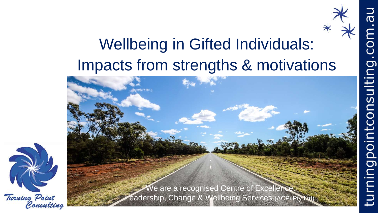## Wellbeing in Gifted Individuals: Impacts from strengths & motivations

 $\bar{\bm{\sigma}}$ 

nsulting.com.

mingpoint



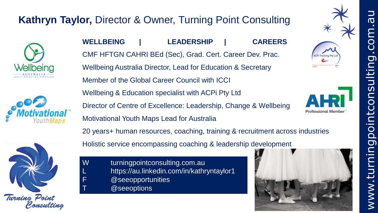### **Kathryn Taylor,** Director & Owner, Turning Point Consulting







**WELLBEING | LEADERSHIP | CAREERS** CMF HFTGN CAHRI BEd (Sec), Grad. Cert. Career Dev. Prac. Wellbeing Australia Director, Lead for Education & Secretary Member of the Global Career Council with ICCI Wellbeing & Education specialist with ACPi Pty Ltd Director of Centre of Excellence: Leadership, Change & Wellbeing Motivational Youth Maps Lead for Australia

20 years+ human resources, coaching, training & recruitment across industries Holistic service encompassing coaching & leadership development

W turningpointconsulting.com.au L https://au.linkedin.com/in/kathryntaylor1 F @seeopportunities @seeoptions





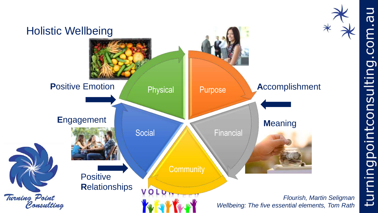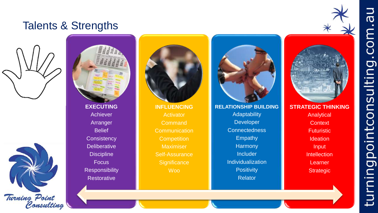#### Talents & Strengths







Arranger **Belief Consistency Deliberative Discipline Focus Responsibility Restorative** 



Activator **Command Communication Competition** Maximiser Self-Assurance **Significance** Woo



**RELATIONSHIP BUILDING Adaptability Developer** Connectedness Empathy **Harmony Includer** Individualization **Positivity Relator** 



**Analytical Context Futuristic Ideation** Input **Intellection Learner Strategic** 

# $\overline{\sigma}$  $\overline{\Xi}$ CO  $\blacksquare$ isulting.  $\tilde{\mathbf{C}}$ intcor poi turning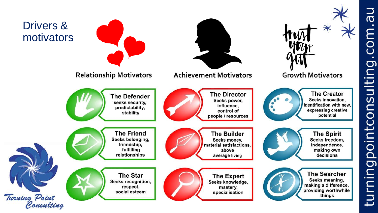

**N<sub>D</sub>** E **O**  $\bullet$ isulting. pointcon G turning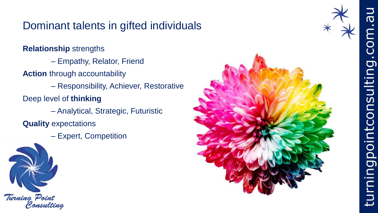### Dominant talents in gifted individuals

**Relationship** strengths

– Empathy, Relator, Friend

**Action** through accountability

– Responsibility, Achiever, Restorative

Deep level of **thinking**

– Analytical, Strategic, Futuristic

**Quality** expectations

– Expert, Competition



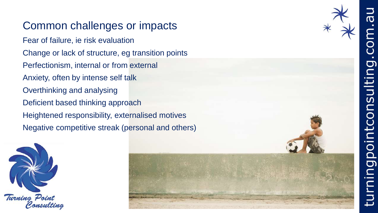### Common challenges or impacts

Fear of failure, ie risk evaluation Change or lack of structure, eg transition points Perfectionism, internal or from external Anxiety, often by intense self talk Overthinking and analysing Deficient based thinking approach Heightened responsibility, externalised motives Negative competitive streak (personal and others)







 $\overline{D}$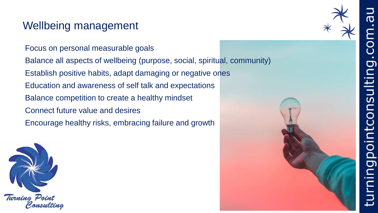#### Wellbeing management

Focus on personal measurable goals Balance all aspects of wellbeing (purpose, social, spiritual, community) Establish positive habits, adapt damaging or negative ones Education and awareness of self talk and expectations Balance competition to create a healthy mindset Connect future value and desires Encourage healthy risks, embracing failure and growth



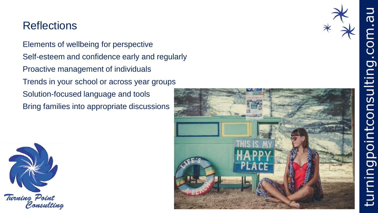#### **Reflections**

Elements of wellbeing for perspective Self-esteem and confidence early and regularly Proactive management of individuals Trends in your school or across year groups Solution-focused language and tools Bring families into appropriate discussions



 $\overline{\sigma}$ 

nsulting.com.

pointco

g

turni